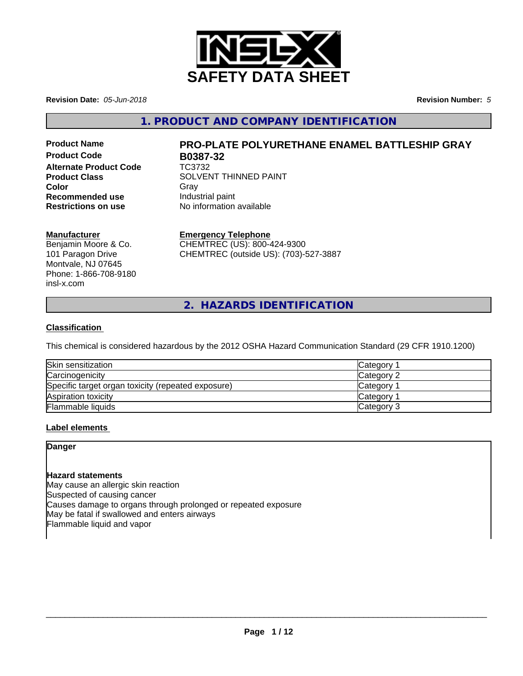

**Revision Date:** *05-Jun-2018* **Revision Number:** *5*

**1. PRODUCT AND COMPANY IDENTIFICATION**

**Product Code B0387-32 Alternate Product Code** TC3732 **Recommended use Industrial paint**<br> **Restrictions on use No information** 

# **Product Name PRO-PLATE POLYURETHANE ENAMEL BATTLESHIP GRAY**

**Product Class** SOLVENT THINNED PAINT **Color** Gray Gray **No information available** 

#### **Manufacturer**

Benjamin Moore & Co. 101 Paragon Drive Montvale, NJ 07645 Phone: 1-866-708-9180 insl-x.com

#### **Emergency Telephone**

CHEMTREC (US): 800-424-9300 CHEMTREC (outside US): (703)-527-3887

**2. HAZARDS IDENTIFICATION**

#### **Classification**

This chemical is considered hazardous by the 2012 OSHA Hazard Communication Standard (29 CFR 1910.1200)

| Skin sensitization                                 | Category   |
|----------------------------------------------------|------------|
| Carcinogenicity                                    | Category 2 |
| Specific target organ toxicity (repeated exposure) | Category   |
| Aspiration toxicity                                | Category 1 |
| Flammable liquids                                  | Category 3 |

#### **Label elements**

#### **Danger**

#### **Hazard statements**

May cause an allergic skin reaction Suspected of causing cancer Causes damage to organs through prolonged or repeated exposure May be fatal if swallowed and enters airways Flammable liquid and vapor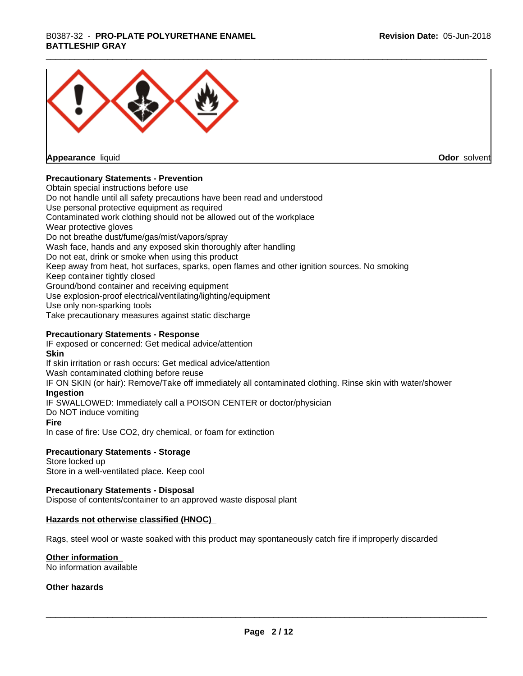## \_\_\_\_\_\_\_\_\_\_\_\_\_\_\_\_\_\_\_\_\_\_\_\_\_\_\_\_\_\_\_\_\_\_\_\_\_\_\_\_\_\_\_\_\_\_\_\_\_\_\_\_\_\_\_\_\_\_\_\_\_\_\_\_\_\_\_\_\_\_\_\_\_\_\_\_\_\_\_\_\_\_\_\_\_\_\_\_\_\_\_\_\_ B0387-32 - **PRO-PLATE POLYURETHANE ENAMEL BATTLESHIP GRAY**



**Appearance** liquid

**Odor** solvent

#### **Precautionary Statements - Prevention**

Obtain special instructions before use Do not handle until all safety precautions have been read and understood Use personal protective equipment as required Contaminated work clothing should not be allowed out of the workplace Wear protective gloves Do not breathe dust/fume/gas/mist/vapors/spray Wash face, hands and any exposed skin thoroughly after handling Do not eat, drink or smoke when using this product Keep away from heat, hot surfaces, sparks, open flames and other ignition sources. No smoking Keep container tightly closed Ground/bond container and receiving equipment Use explosion-proof electrical/ventilating/lighting/equipment Use only non-sparking tools Take precautionary measures against static discharge

#### **Precautionary Statements - Response**

IF exposed or concerned: Get medical advice/attention **Skin** If skin irritation or rash occurs: Get medical advice/attention Wash contaminated clothing before reuse IF ON SKIN (or hair): Remove/Take off immediately all contaminated clothing. Rinse skin with water/shower **Ingestion** IF SWALLOWED: Immediately call a POISON CENTER or doctor/physician Do NOT induce vomiting **Fire** In case of fire: Use CO2, dry chemical, or foam for extinction

#### **Precautionary Statements - Storage**

Store locked up Store in a well-ventilated place. Keep cool

#### **Precautionary Statements - Disposal**

Dispose of contents/container to an approved waste disposal plant

#### **Hazards not otherwise classified (HNOC)**

Rags, steel wool or waste soaked with this product may spontaneously catch fire if improperly discarded

#### **Other information**

No information available

#### **Other hazards**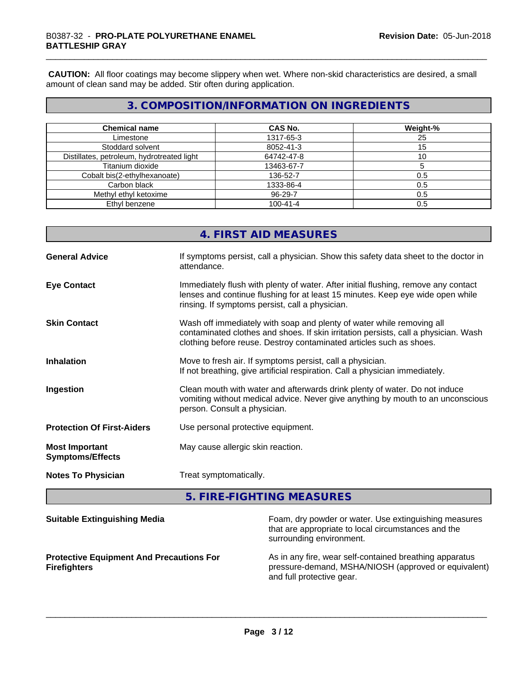**CAUTION:** All floor coatings may become slippery when wet. Where non-skid characteristics are desired, a small amount of clean sand may be added. Stir often during application.

## **3. COMPOSITION/INFORMATION ON INGREDIENTS**

| <b>Chemical name</b>                       | <b>CAS No.</b> | Weight-% |
|--------------------------------------------|----------------|----------|
| Limestone                                  | 1317-65-3      | 25       |
| Stoddard solvent                           | 8052-41-3      | 15       |
| Distillates, petroleum, hydrotreated light | 64742-47-8     |          |
| Titanium dioxide                           | 13463-67-7     |          |
| Cobalt bis(2-ethylhexanoate)               | 136-52-7       | 0.5      |
| Carbon black                               | 1333-86-4      | 0.5      |
| Methyl ethyl ketoxime                      | 96-29-7        | 0.5      |
| Ethyl benzene                              | $100 - 41 - 4$ | 0.5      |

## **4. FIRST AID MEASURES**

| <b>General Advice</b>                            | If symptoms persist, call a physician. Show this safety data sheet to the doctor in<br>attendance.                                                                                                                                  |
|--------------------------------------------------|-------------------------------------------------------------------------------------------------------------------------------------------------------------------------------------------------------------------------------------|
| <b>Eye Contact</b>                               | Immediately flush with plenty of water. After initial flushing, remove any contact<br>lenses and continue flushing for at least 15 minutes. Keep eye wide open while<br>rinsing. If symptoms persist, call a physician.             |
| <b>Skin Contact</b>                              | Wash off immediately with soap and plenty of water while removing all<br>contaminated clothes and shoes. If skin irritation persists, call a physician. Wash<br>clothing before reuse. Destroy contaminated articles such as shoes. |
| <b>Inhalation</b>                                | Move to fresh air. If symptoms persist, call a physician.<br>If not breathing, give artificial respiration. Call a physician immediately.                                                                                           |
| Ingestion                                        | Clean mouth with water and afterwards drink plenty of water. Do not induce<br>vomiting without medical advice. Never give anything by mouth to an unconscious<br>person. Consult a physician.                                       |
| <b>Protection Of First-Aiders</b>                | Use personal protective equipment.                                                                                                                                                                                                  |
| <b>Most Important</b><br><b>Symptoms/Effects</b> | May cause allergic skin reaction.                                                                                                                                                                                                   |
| <b>Notes To Physician</b>                        | Treat symptomatically.                                                                                                                                                                                                              |

**5. FIRE-FIGHTING MEASURES**

| <b>Suitable Extinguishing Media</b>                                    | Foam, dry powder or water. Use extinguishing measures<br>that are appropriate to local circumstances and the<br>surrounding environment.     |
|------------------------------------------------------------------------|----------------------------------------------------------------------------------------------------------------------------------------------|
| <b>Protective Equipment And Precautions For</b><br><b>Firefighters</b> | As in any fire, wear self-contained breathing apparatus<br>pressure-demand, MSHA/NIOSH (approved or equivalent)<br>and full protective gear. |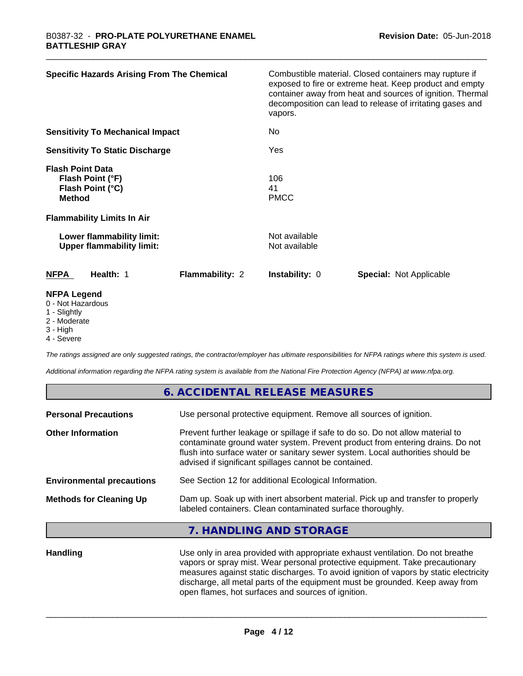| <b>Specific Hazards Arising From The Chemical</b>                                                                     | Combustible material. Closed containers may rupture if<br>exposed to fire or extreme heat. Keep product and empty<br>container away from heat and sources of ignition. Thermal<br>decomposition can lead to release of irritating gases and<br>vapors. |
|-----------------------------------------------------------------------------------------------------------------------|--------------------------------------------------------------------------------------------------------------------------------------------------------------------------------------------------------------------------------------------------------|
| <b>Sensitivity To Mechanical Impact</b>                                                                               | No                                                                                                                                                                                                                                                     |
| <b>Sensitivity To Static Discharge</b>                                                                                | Yes                                                                                                                                                                                                                                                    |
| <b>Flash Point Data</b><br>Flash Point (°F)<br>Flash Point (°C)<br><b>Method</b><br><b>Flammability Limits In Air</b> | 106<br>41<br><b>PMCC</b>                                                                                                                                                                                                                               |
| Lower flammability limit:<br><b>Upper flammability limit:</b>                                                         | Not available<br>Not available                                                                                                                                                                                                                         |
| Flammability: 2<br><b>NFPA</b><br>Health: 1                                                                           | Instability: 0<br><b>Special: Not Applicable</b>                                                                                                                                                                                                       |
| <b>NFPA Legend</b><br>0 - Not Hazardous<br>1 Cliabthi                                                                 |                                                                                                                                                                                                                                                        |

- 1 Slightly
- 2 Moderate
- 3 High
- 4 Severe

*The ratings assigned are only suggested ratings, the contractor/employer has ultimate responsibilities for NFPA ratings where this system is used.*

*Additional information regarding the NFPA rating system is available from the National Fire Protection Agency (NFPA) at www.nfpa.org.*

|                                  | 6. ACCIDENTAL RELEASE MEASURES                                                                                                                                                                                                                                                                             |
|----------------------------------|------------------------------------------------------------------------------------------------------------------------------------------------------------------------------------------------------------------------------------------------------------------------------------------------------------|
| <b>Personal Precautions</b>      | Use personal protective equipment. Remove all sources of ignition.                                                                                                                                                                                                                                         |
| <b>Other Information</b>         | Prevent further leakage or spillage if safe to do so. Do not allow material to<br>contaminate ground water system. Prevent product from entering drains. Do not<br>flush into surface water or sanitary sewer system. Local authorities should be<br>advised if significant spillages cannot be contained. |
| <b>Environmental precautions</b> | See Section 12 for additional Ecological Information.                                                                                                                                                                                                                                                      |
| <b>Methods for Cleaning Up</b>   | Dam up. Soak up with inert absorbent material. Pick up and transfer to properly<br>labeled containers. Clean contaminated surface thoroughly.                                                                                                                                                              |
|                                  | 7. HANDLING AND STORAGE                                                                                                                                                                                                                                                                                    |
|                                  |                                                                                                                                                                                                                                                                                                            |

Handling **Handling** Use only in area provided with appropriate exhaust ventilation. Do not breathe vapors or spray mist. Wear personal protective equipment. Take precautionary measures against static discharges. To avoid ignition of vapors by static electricity discharge, all metal parts of the equipment must be grounded. Keep away from open flames, hot surfaces and sources of ignition.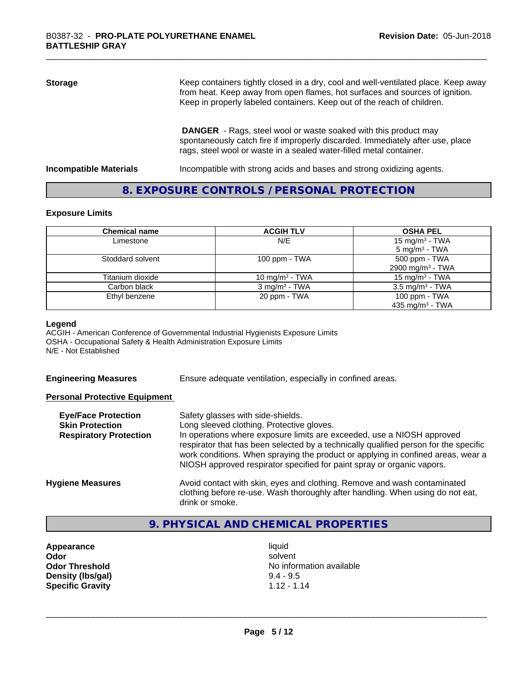| <b>Storage</b> | Keep containers tightly closed in a dry, cool and well-ventilated place. Keep away<br>from heat. Keep away from open flames, hot surfaces and sources of ignition.<br>Keep in properly labeled containers. Keep out of the reach of children. |
|----------------|-----------------------------------------------------------------------------------------------------------------------------------------------------------------------------------------------------------------------------------------------|
|                | <b>DANGER</b> - Rags, steel wool or waste soaked with this product may<br>spontaneously catch fire if improperly discarded. Immediately after use, place<br>rags, steel wool or waste in a sealed water-filled metal container.               |

**Incompatible Materials Incompatible with strong acids and bases and strong oxidizing agents.** 

#### **8. EXPOSURE CONTROLS / PERSONAL PROTECTION**

#### **Exposure Limits**

| <b>Chemical name</b> | <b>ACGIH TLV</b>         | <b>OSHA PEL</b>                                        |
|----------------------|--------------------------|--------------------------------------------------------|
| Limestone            | N/E                      | 15 mg/m <sup>3</sup> - TWA<br>$5 \text{ mg/m}^3$ - TWA |
| Stoddard solvent     | $100$ ppm $-$ TWA        | 500 ppm - TWA                                          |
|                      |                          | 2900 mg/m <sup>3</sup> - TWA                           |
| Titanium dioxide     | 10 mg/m $3$ - TWA        | 15 mg/m <sup>3</sup> - TWA                             |
| Carbon black         | $3 \text{ mg/m}^3$ - TWA | $3.5 \text{ mg/m}^3$ - TWA                             |
| Ethyl benzene        | 20 ppm - TWA             | 100 ppm - TWA                                          |
|                      |                          | 435 mg/m <sup>3</sup> - TWA                            |

#### **Legend**

ACGIH - American Conference of Governmental Industrial Hygienists Exposure Limits OSHA - Occupational Safety & Health Administration Exposure Limits N/E - Not Established

**Engineering Measures** Ensure adequate ventilation, especially in confined areas.

#### **Personal Protective Equipment**

| <b>Eye/Face Protection</b><br><b>Skin Protection</b><br><b>Respiratory Protection</b> | Safety glasses with side-shields.<br>Long sleeved clothing. Protective gloves.<br>In operations where exposure limits are exceeded, use a NIOSH approved<br>respirator that has been selected by a technically qualified person for the specific<br>work conditions. When spraying the product or applying in confined areas, wear a<br>NIOSH approved respirator specified for paint spray or organic vapors. |
|---------------------------------------------------------------------------------------|----------------------------------------------------------------------------------------------------------------------------------------------------------------------------------------------------------------------------------------------------------------------------------------------------------------------------------------------------------------------------------------------------------------|
| <b>Hygiene Measures</b>                                                               | Avoid contact with skin, eyes and clothing. Remove and wash contaminated<br>clothing before re-use. Wash thoroughly after handling. When using do not eat,<br>drink or smoke.                                                                                                                                                                                                                                  |

## **9. PHYSICAL AND CHEMICAL PROPERTIES**

**Appearance** liquid **Density (Ibs/gal)** 9.4 - 9.5<br> **Specific Gravity** 1.12 - 1.14 **Specific Gravity** 

**Odor** solvent **Odor Threshold No information available No information available**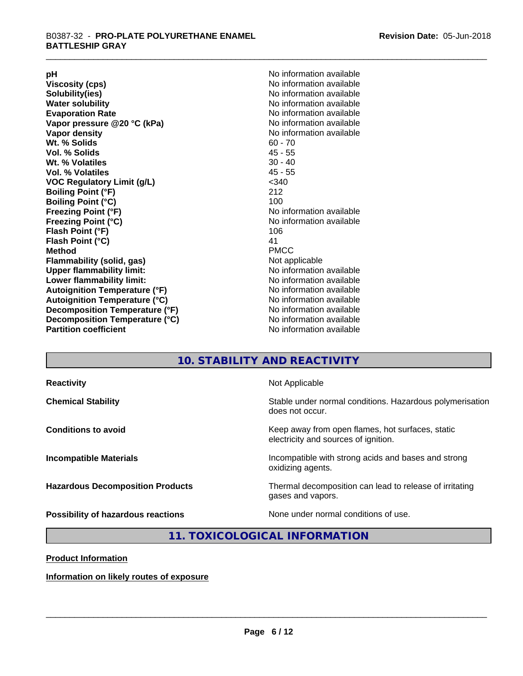**Viscosity (cps)** <br> **Viscosity (cps)** No information available<br>
No information available<br>
No information available **Water solubility**<br> **Evaporation Rate**<br> **Evaporation Rate**<br> **Evaporation Rate Vapor** pressure @20 °C (kPa) **Vapor density No information available Wt. % Solids** 60 - 70<br> **Vol. % Solids** 60 - 70<br> **Vol. % Solids** 65 **Vol. % Solids Wt.** % Volatiles 30 - 40 **Vol. % Volatiles** 45 - 55 **VOC Regulatory Limit (g/L)** <340 **Boiling Point (°F)** 212 **Boiling Point (°C)**<br>Freezing Point (°F) **Freezing Point (°C)** No information available **Flash Point (°F)** 106 **Flash Point (°C)** 41 **Method** PMCC **Flammability (solid, gas)** Not applicable **Upper flammability limit:** No information available **Lower flammability limit:** No information available **Autoignition Temperature (°F)** No information available **Autoignition Temperature (°C)** No information available **Decomposition Temperature (°F)**<br> **Decomposition Temperature (°C)** No information available<br>
No information available **Decomposition Temperature (°C)**<br>Partition coefficient

**pH**<br>
Viscosity (cps) The Contract of the Contract of No information available<br>
No information available **Solubility(ies)** No information available No information available<br>No information available **No information available No information available** 

### **10. STABILITY AND REACTIVITY**

| <b>Reactivity</b>                       | Not Applicable                                                                           |
|-----------------------------------------|------------------------------------------------------------------------------------------|
| <b>Chemical Stability</b>               | Stable under normal conditions. Hazardous polymerisation<br>does not occur.              |
| <b>Conditions to avoid</b>              | Keep away from open flames, hot surfaces, static<br>electricity and sources of ignition. |
| <b>Incompatible Materials</b>           | Incompatible with strong acids and bases and strong<br>oxidizing agents.                 |
| <b>Hazardous Decomposition Products</b> | Thermal decomposition can lead to release of irritating<br>gases and vapors.             |
| Possibility of hazardous reactions      | None under normal conditions of use.                                                     |

#### **11. TOXICOLOGICAL INFORMATION**

**Product Information**

**Information on likely routes of exposure**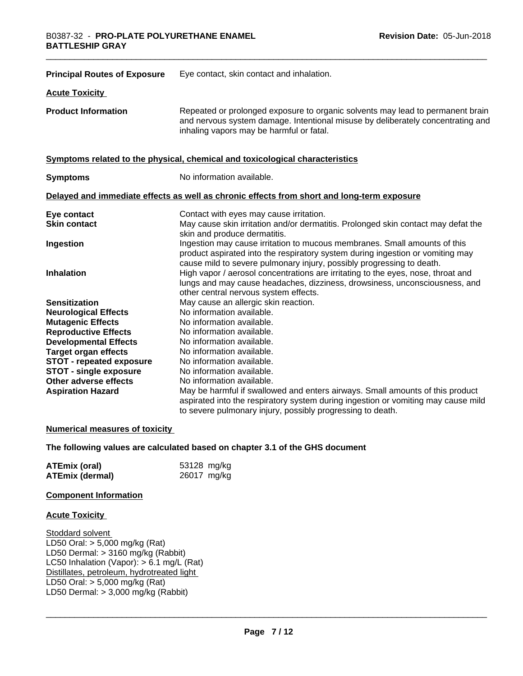| <b>Principal Routes of Exposure</b> | Eye contact, skin contact and inhalation.                                                                                                                                                                                            |
|-------------------------------------|--------------------------------------------------------------------------------------------------------------------------------------------------------------------------------------------------------------------------------------|
| <b>Acute Toxicity</b>               |                                                                                                                                                                                                                                      |
| <b>Product Information</b>          | Repeated or prolonged exposure to organic solvents may lead to permanent brain<br>and nervous system damage. Intentional misuse by deliberately concentrating and<br>inhaling vapors may be harmful or fatal.                        |
|                                     | Symptoms related to the physical, chemical and toxicological characteristics                                                                                                                                                         |
| <b>Symptoms</b>                     | No information available.                                                                                                                                                                                                            |
|                                     | Delayed and immediate effects as well as chronic effects from short and long-term exposure                                                                                                                                           |
| Eye contact<br><b>Skin contact</b>  | Contact with eyes may cause irritation.<br>May cause skin irritation and/or dermatitis. Prolonged skin contact may defat the<br>skin and produce dermatitis.                                                                         |
| Ingestion                           | Ingestion may cause irritation to mucous membranes. Small amounts of this<br>product aspirated into the respiratory system during ingestion or vomiting may<br>cause mild to severe pulmonary injury, possibly progressing to death. |
| <b>Inhalation</b>                   | High vapor / aerosol concentrations are irritating to the eyes, nose, throat and<br>lungs and may cause headaches, dizziness, drowsiness, unconsciousness, and<br>other central nervous system effects.                              |
| <b>Sensitization</b>                | May cause an allergic skin reaction.                                                                                                                                                                                                 |
| <b>Neurological Effects</b>         | No information available.                                                                                                                                                                                                            |
| <b>Mutagenic Effects</b>            | No information available.                                                                                                                                                                                                            |
| <b>Reproductive Effects</b>         | No information available.                                                                                                                                                                                                            |
| <b>Developmental Effects</b>        | No information available.                                                                                                                                                                                                            |
| <b>Target organ effects</b>         | No information available.                                                                                                                                                                                                            |
| <b>STOT - repeated exposure</b>     | No information available.                                                                                                                                                                                                            |
| <b>STOT - single exposure</b>       | No information available.                                                                                                                                                                                                            |
| Other adverse effects               | No information available.                                                                                                                                                                                                            |
| <b>Aspiration Hazard</b>            | May be harmful if swallowed and enters airways. Small amounts of this product<br>aspirated into the respiratory system during ingestion or vomiting may cause mild                                                                   |
|                                     | to severe pulmonary injury, possibly progressing to death.                                                                                                                                                                           |

#### **Numerical measures of toxicity**

#### **The following values are calculated based on chapter 3.1 of the GHS document**

| <b>ATEmix (oral)</b>   | 53128 mg/kg |
|------------------------|-------------|
| <b>ATEmix (dermal)</b> | 26017 mg/kg |

#### **Component Information**

#### **Acute Toxicity**

Stoddard solvent LD50 Oral: > 5,000 mg/kg (Rat) LD50 Dermal: > 3160 mg/kg (Rabbit) LC50 Inhalation (Vapor): > 6.1 mg/L (Rat) Distillates, petroleum, hydrotreated light LD50 Oral: > 5,000 mg/kg (Rat) LD50 Dermal:  $> 3,000$  mg/kg (Rabbit)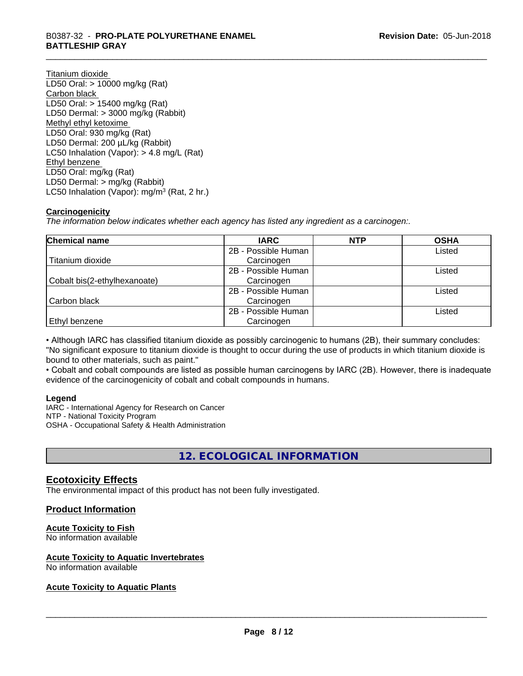## \_\_\_\_\_\_\_\_\_\_\_\_\_\_\_\_\_\_\_\_\_\_\_\_\_\_\_\_\_\_\_\_\_\_\_\_\_\_\_\_\_\_\_\_\_\_\_\_\_\_\_\_\_\_\_\_\_\_\_\_\_\_\_\_\_\_\_\_\_\_\_\_\_\_\_\_\_\_\_\_\_\_\_\_\_\_\_\_\_\_\_\_\_ B0387-32 - **PRO-PLATE POLYURETHANE ENAMEL BATTLESHIP GRAY**

Titanium dioxide LD50 Oral: > 10000 mg/kg (Rat) Carbon black LD50 Oral: > 15400 mg/kg (Rat) LD50 Dermal: > 3000 mg/kg (Rabbit) Methyl ethyl ketoxime LD50 Oral: 930 mg/kg (Rat) LD50 Dermal: 200 µL/kg (Rabbit) LC50 Inhalation (Vapor): > 4.8 mg/L (Rat) Ethyl benzene LD50 Oral: mg/kg (Rat) LD50 Dermal: > mg/kg (Rabbit) LC50 Inhalation (Vapor): mg/m<sup>3</sup> (Rat, 2 hr.)

#### **Carcinogenicity**

*The information below indicateswhether each agency has listed any ingredient as a carcinogen:.*

| Chemical name                | <b>IARC</b>         | <b>NTP</b> | <b>OSHA</b> |
|------------------------------|---------------------|------------|-------------|
|                              | 2B - Possible Human |            | Listed      |
| Titanium dioxide             | Carcinogen          |            |             |
|                              | 2B - Possible Human |            | Listed      |
| Cobalt bis(2-ethylhexanoate) | Carcinogen          |            |             |
|                              | 2B - Possible Human |            | Listed      |
| Carbon black                 | Carcinogen          |            |             |
|                              | 2B - Possible Human |            | Listed      |
| <b>Ethyl benzene</b>         | Carcinogen          |            |             |

• Although IARC has classified titanium dioxide as possibly carcinogenic to humans (2B), their summary concludes: "No significant exposure to titanium dioxide is thought to occur during the use of products in which titanium dioxide is bound to other materials, such as paint."

• Cobalt and cobalt compounds are listed as possible human carcinogens by IARC (2B). However, there is inadequate evidence of the carcinogenicity of cobalt and cobalt compounds in humans.

#### **Legend**

IARC - International Agency for Research on Cancer NTP - National Toxicity Program OSHA - Occupational Safety & Health Administration

## **12. ECOLOGICAL INFORMATION**

#### **Ecotoxicity Effects**

The environmental impact of this product has not been fully investigated.

#### **Product Information**

#### **Acute Toxicity to Fish**

No information available

#### **Acute Toxicity to Aquatic Invertebrates**

No information available

#### **Acute Toxicity to Aquatic Plants**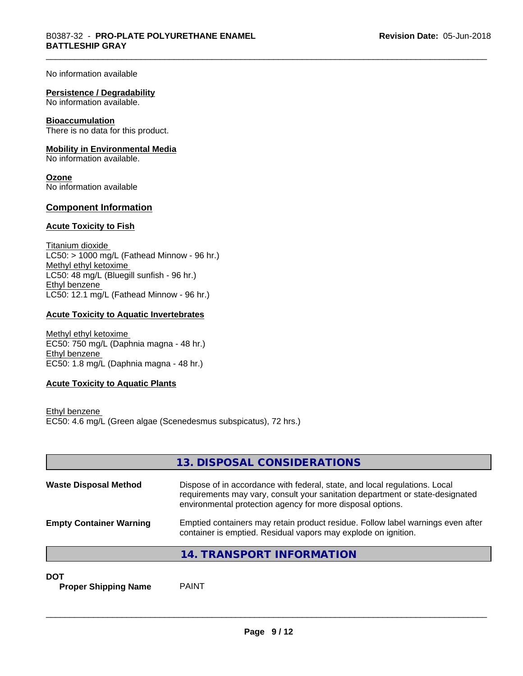No information available

#### **Persistence / Degradability**

No information available.

#### **Bioaccumulation**

There is no data for this product.

#### **Mobility in Environmental Media**

No information available.

**Ozone** No information available

#### **Component Information**

#### **Acute Toxicity to Fish**

Titanium dioxide  $LC50:$  > 1000 mg/L (Fathead Minnow - 96 hr.) Methyl ethyl ketoxime LC50: 48 mg/L (Bluegill sunfish - 96 hr.) Ethyl benzene LC50: 12.1 mg/L (Fathead Minnow - 96 hr.)

#### **Acute Toxicity to Aquatic Invertebrates**

Methyl ethyl ketoxime EC50: 750 mg/L (Daphnia magna - 48 hr.) Ethyl benzene EC50: 1.8 mg/L (Daphnia magna - 48 hr.)

#### **Acute Toxicity to Aquatic Plants**

Ethyl benzene EC50: 4.6 mg/L (Green algae (Scenedesmus subspicatus), 72 hrs.)

|                                | 13. DISPOSAL CONSIDERATIONS                                                                                                                                                                                               |
|--------------------------------|---------------------------------------------------------------------------------------------------------------------------------------------------------------------------------------------------------------------------|
| <b>Waste Disposal Method</b>   | Dispose of in accordance with federal, state, and local regulations. Local<br>requirements may vary, consult your sanitation department or state-designated<br>environmental protection agency for more disposal options. |
| <b>Empty Container Warning</b> | Emptied containers may retain product residue. Follow label warnings even after<br>container is emptied. Residual vapors may explode on ignition.                                                                         |
|                                | 14. TRANSPORT INFORMATION                                                                                                                                                                                                 |

**DOT**

**Proper Shipping Name** PAINT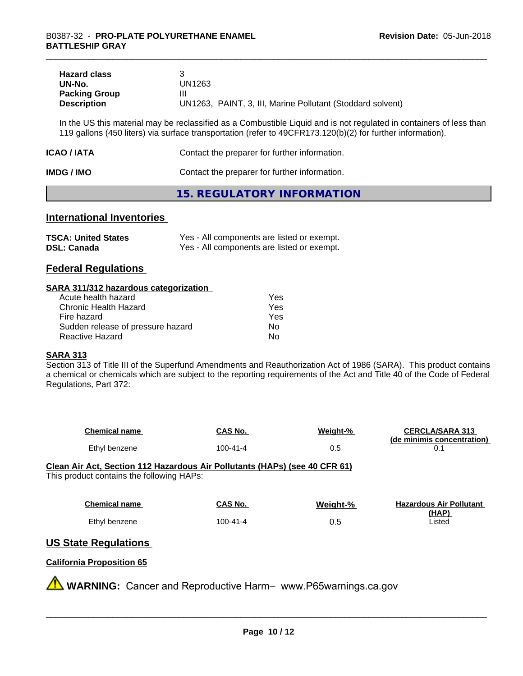| <b>Hazard class</b>  |                                                            |
|----------------------|------------------------------------------------------------|
| UN-No.               | UN1263                                                     |
| <b>Packing Group</b> | Ш                                                          |
| <b>Description</b>   | UN1263, PAINT, 3, III, Marine Pollutant (Stoddard solvent) |

In the US this material may be reclassified as a Combustible Liquid and is not regulated in containers of less than 119 gallons (450 liters) via surface transportation (refer to 49CFR173.120(b)(2) for further information).

| ICAO / IATA       | Contact the preparer for further information. |
|-------------------|-----------------------------------------------|
| <b>IMDG / IMO</b> | Contact the preparer for further information. |

#### **15. REGULATORY INFORMATION**

#### **International Inventories**

| <b>TSCA: United States</b> | Yes - All components are listed or exempt. |
|----------------------------|--------------------------------------------|
| <b>DSL: Canada</b>         | Yes - All components are listed or exempt. |

#### **Federal Regulations**

#### **SARA 311/312 hazardous categorization**

| Acute health hazard               | Yes |  |
|-----------------------------------|-----|--|
| Chronic Health Hazard             | Yes |  |
| Fire hazard                       | Yes |  |
| Sudden release of pressure hazard | Nο  |  |
| Reactive Hazard                   | Nο  |  |

#### **SARA 313**

Section 313 of Title III of the Superfund Amendments and Reauthorization Act of 1986 (SARA). This product contains a chemical or chemicals which are subject to the reporting requirements of the Act and Title 40 of the Code of Federal Regulations, Part 372:

| <b>Chemical name</b> | CAS No.  | Weight-% | <b>CERCLA/SARA 313</b><br>(de minimis concentration) |
|----------------------|----------|----------|------------------------------------------------------|
| Ethyl benzene        | 100-41-4 | ∪.⊾      |                                                      |

**Clean Air Act,Section 112 Hazardous Air Pollutants (HAPs) (see 40 CFR 61)** This product contains the following HAPs:

| <b>Chemical name</b> | CAS No.  | Weight-% | <b>Hazardous Air Pollutant</b> |
|----------------------|----------|----------|--------------------------------|
|                      |          |          | (HAP)                          |
| Ethyl benzene        | 100-41-4 | 0.5      | Listed                         |

#### **US State Regulations**

#### **California Proposition 65**

**WARNING:** Cancer and Reproductive Harm– www.P65warnings.ca.gov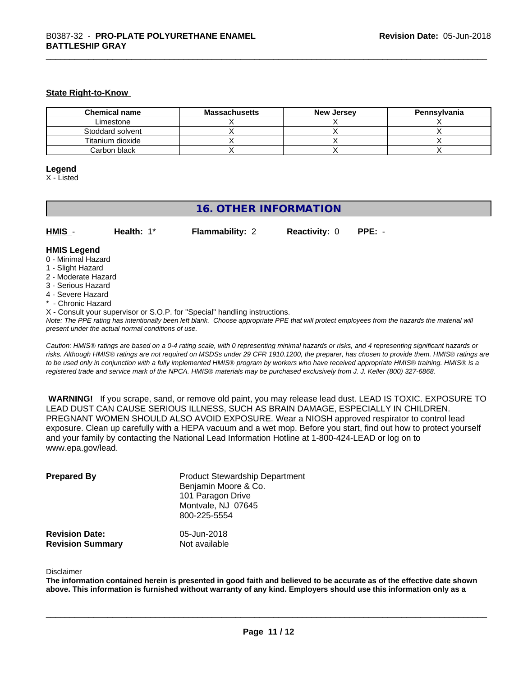#### **State Right-to-Know**

| <b>Chemical name</b> | <b>Massachusetts</b> | <b>New Jersey</b> | Pennsylvania |
|----------------------|----------------------|-------------------|--------------|
| Limestone            |                      |                   |              |
| Stoddard solvent     |                      |                   |              |
| Titanium dioxide     |                      |                   |              |
| Carbon black         |                      |                   |              |

#### **Legend**

X - Listed

#### **16. OTHER INFORMATION**

| HMIS | Health: 1* | <b>Flammability: 2</b> | <b>Reactivity: 0 PPE: -</b> |  |
|------|------------|------------------------|-----------------------------|--|
|      |            |                        |                             |  |

#### **HMIS Legend**

- 0 Minimal Hazard
- 1 Slight Hazard
- 2 Moderate Hazard
- 3 Serious Hazard
- 4 Severe Hazard
- \* Chronic Hazard
- X Consult your supervisor or S.O.P. for "Special" handling instructions.

*Note: The PPE rating has intentionally been left blank. Choose appropriate PPE that will protect employees from the hazards the material will present under the actual normal conditions of use.*

*Caution: HMISÒ ratings are based on a 0-4 rating scale, with 0 representing minimal hazards or risks, and 4 representing significant hazards or risks. Although HMISÒ ratings are not required on MSDSs under 29 CFR 1910.1200, the preparer, has chosen to provide them. HMISÒ ratings are to be used only in conjunction with a fully implemented HMISÒ program by workers who have received appropriate HMISÒ training. HMISÒ is a registered trade and service mark of the NPCA. HMISÒ materials may be purchased exclusively from J. J. Keller (800) 327-6868.*

 **WARNING!** If you scrape, sand, or remove old paint, you may release lead dust. LEAD IS TOXIC. EXPOSURE TO LEAD DUST CAN CAUSE SERIOUS ILLNESS, SUCH AS BRAIN DAMAGE, ESPECIALLY IN CHILDREN. PREGNANT WOMEN SHOULD ALSO AVOID EXPOSURE. Wear a NIOSH approved respirator to control lead exposure. Clean up carefully with a HEPA vacuum and a wet mop. Before you start, find out how to protect yourself and your family by contacting the National Lead Information Hotline at 1-800-424-LEAD or log on to www.epa.gov/lead.

| <b>Prepared By</b>      | <b>Product Stewardship Department</b><br>Benjamin Moore & Co.<br>101 Paragon Drive<br>Montvale, NJ 07645<br>800-225-5554 |
|-------------------------|--------------------------------------------------------------------------------------------------------------------------|
| <b>Revision Date:</b>   | 05-Jun-2018                                                                                                              |
| <b>Revision Summary</b> | Not available                                                                                                            |

#### Disclaimer

The information contained herein is presented in good faith and believed to be accurate as of the effective date shown above. This information is furnished without warranty of any kind. Employers should use this information only as a